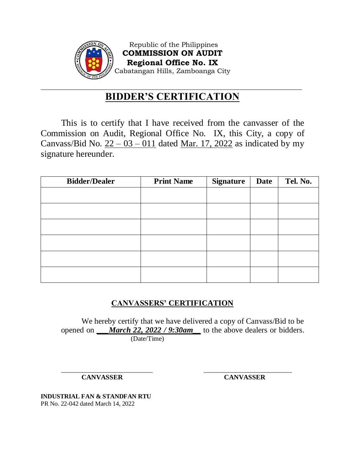

Republic of the Philippines **COMMISSION ON AUDIT Regional Office No. IX** Cabatangan Hills, Zamboanga City

## \_\_\_\_\_\_\_\_\_\_\_\_\_\_\_\_\_\_\_\_\_\_\_\_\_\_\_\_\_\_\_\_\_\_\_\_\_\_\_\_\_\_\_\_\_\_\_\_\_\_\_\_\_\_\_\_\_\_\_\_\_\_\_\_\_\_\_\_\_\_\_\_\_\_\_\_\_ **BIDDER'S CERTIFICATION**

This is to certify that I have received from the canvasser of the Commission on Audit, Regional Office No. IX, this City, a copy of Canvass/Bid No.  $22 - 03 - 011$  dated Mar. 17, 2022 as indicated by my signature hereunder.

| <b>Bidder/Dealer</b> | <b>Print Name</b> | <b>Signature</b> | <b>Date</b> | Tel. No. |
|----------------------|-------------------|------------------|-------------|----------|
|                      |                   |                  |             |          |
|                      |                   |                  |             |          |
|                      |                   |                  |             |          |
|                      |                   |                  |             |          |
|                      |                   |                  |             |          |
|                      |                   |                  |             |          |

## **CANVASSERS' CERTIFICATION**

We hereby certify that we have delivered a copy of Canvass/Bid to be opened on *\_\_\_March 22, 2022 / 9:30am\_\_* to the above dealers or bidders. (Date/Time)

\_\_\_\_\_\_\_\_\_\_\_\_\_\_\_\_\_\_\_\_\_\_\_\_\_\_\_ \_\_\_\_\_\_\_\_\_\_\_\_\_\_\_\_\_\_\_\_\_\_\_\_\_\_

**CANVASSER CANVASSER**

**INDUSTRIAL FAN & STANDFAN RTU** PR No. 22-042 dated March 14, 2022